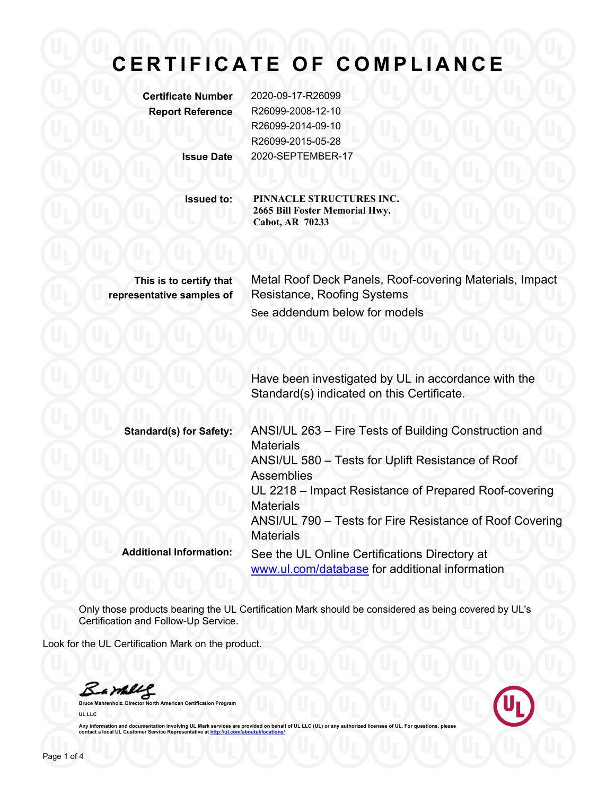| <b>Certificate Number</b> | 2020-09-17-R26099 |  |
|---------------------------|-------------------|--|
| <b>Report Reference</b>   | R26099-2008-12-10 |  |
|                           | R26099-2014-09-10 |  |
|                           | R26099-2015-05-28 |  |
| <b>Issue Date</b>         | 2020-SEPTEMBER-17 |  |
|                           |                   |  |

**Issued to: PINNACLE STRUCTURES INC. 2665 Bill Foster Memorial Hwy. Cabot, AR 70233**

**This is to certify that representative samples of** Metal Roof Deck Panels, Roof-covering Materials, Impact Resistance, Roofing Systems See addendum below for models

Have been investigated by UL in accordance with the Standard(s) indicated on this Certificate.

| <b>Standard(s) for Safety:</b> | ANSI/UL 263 - Fire Tests of Building Construction and<br><b>Materials</b>                       |
|--------------------------------|-------------------------------------------------------------------------------------------------|
|                                | ANSI/UL 580 - Tests for Uplift Resistance of Roof<br><b>Assemblies</b>                          |
|                                | UL 2218 - Impact Resistance of Prepared Roof-covering<br><b>Materials</b>                       |
|                                | ANSI/UL 790 - Tests for Fire Resistance of Roof Covering<br><b>Materials</b>                    |
| <b>Additional Information:</b> | See the UL Online Certifications Directory at<br>www.ul.com/database for additional information |

Only those products bearing the UL Certification Mark should be considered as being covered by UL's Certification and Follow-Up Service.

Look for the UL Certification Mark on the product.

Barkley



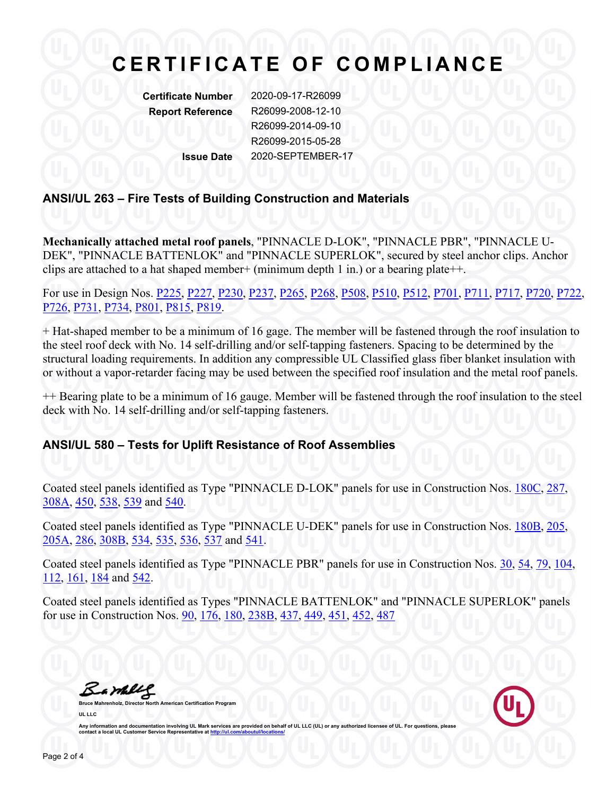**Certificate Number** 2020-09-17-R26099 **Report Reference** R26099-2008-12-10

R26099-2014-09-10 R26099-2015-05-28 **Issue Date** 2020-SEPTEMBER-17

#### **ANSI/UL 263 – Fire Tests of Building Construction and Materials**

**Mechanically attached metal roof panels**, "PINNACLE D-LOK", "PINNACLE PBR", "PINNACLE U-DEK", "PINNACLE BATTENLOK" and "PINNACLE SUPERLOK", secured by steel anchor clips. Anchor clips are attached to a hat shaped member+ (minimum depth 1 in.) or a bearing plate++.

For use in Design Nos. P225, P227, P230, P237, P265, P268, P508, P510, P512, P701, P711, P717, P720, P722, P726, P731, P734, P801, P815, P819.

+ Hat-shaped member to be a minimum of 16 gage. The member will be fastened through the roof insulation to the steel roof deck with No. 14 self-drilling and/or self-tapping fasteners. Spacing to be determined by the structural loading requirements. In addition any compressible UL Classified glass fiber blanket insulation with or without a vapor-retarder facing may be used between the specified roof insulation and the metal roof panels.

++ Bearing plate to be a minimum of 16 gauge. Member will be fastened through the roof insulation to the steel deck with No. 14 self-drilling and/or self-tapping fasteners.

#### **ANSI/UL 580 – Tests for Uplift Resistance of Roof Assemblies**

Coated steel panels identified as Type "PINNACLE D-LOK" panels for use in Construction Nos. 180C, 287, 308A, 450, 538, 539 and 540.

Coated steel panels identified as Type "PINNACLE U-DEK" panels for use in Construction Nos. 180B, 205, 205A, 286, 308B, 534, 535, 536, 537 and 541.

Coated steel panels identified as Type "PINNACLE PBR" panels for use in Construction Nos. 30, 54, 79, 104, 112, 161, 184 and 542.

Coated steel panels identified as Types "PINNACLE BATTENLOK" and "PINNACLE SUPERLOK" panels for use in Construction Nos. 90, 176, 180, 238B, 437, 449, 451, 452, 487

Barkey

**Bruce Mahrenholz, Director North American Certification Program UL LLC** 

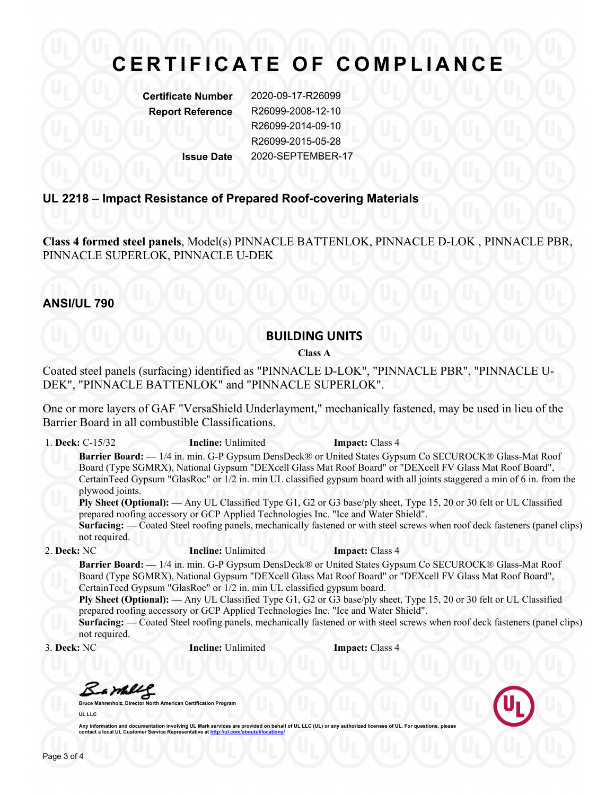**Certificate Number** 2020-09-17-R26099 **Report Reference** R26099-2008-12-10

R26099-2014-09-10 R26099-2015-05-28 **Issue Date** 2020-SEPTEMBER-17

#### **UL 2218 – Impact Resistance of Prepared Roof-covering Materials**

**Class 4 formed steel panels**, Model(s) PINNACLE BATTENLOK, PINNACLE D-LOK , PINNACLE PBR, PINNACLE SUPERLOK, PINNACLE U-DEK

#### **ANSI/UL 790**

### **BUILDING UNITS**

**Class A** 

Coated steel panels (surfacing) identified as "PINNACLE D-LOK", "PINNACLE PBR", "PINNACLE U-DEK", "PINNACLE BATTENLOK" and "PINNACLE SUPERLOK".

One or more layers of GAF "VersaShield Underlayment," mechanically fastened, may be used in lieu of the Barrier Board in all combustible Classifications.

1. **Deck:** C-15/32 **Incline:** Unlimited **Impact:** Class 4 **Barrier Board: —** 1/4 in. min. G-P Gypsum DensDeck® or United States Gypsum Co SECUROCK® Glass-Mat Roof Board (Type SGMRX), National Gypsum "DEXcell Glass Mat Roof Board" or "DEXcell FV Glass Mat Roof Board", CertainTeed Gypsum "GlasRoc" or 1/2 in. min UL classified gypsum board with all joints staggered a min of 6 in. from the plywood joints. **Ply Sheet (Optional): —** Any UL Classified Type G1, G2 or G3 base/ply sheet, Type 15, 20 or 30 felt or UL Classified

prepared roofing accessory or GCP Applied Technologies Inc. "Ice and Water Shield". **Surfacing:** — Coated Steel roofing panels, mechanically fastened or with steel screws when roof deck fasteners (panel clips)

not required.

2. **Deck:** NC **Incline:** Unlimited **Impact:** Class 4

**Barrier Board: —** 1/4 in. min. G-P Gypsum DensDeck® or United States Gypsum Co SECUROCK® Glass-Mat Roof Board (Type SGMRX), National Gypsum "DEXcell Glass Mat Roof Board" or "DEXcell FV Glass Mat Roof Board", CertainTeed Gypsum "GlasRoc" or 1/2 in. min UL classified gypsum board.

**Ply Sheet (Optional): —** Any UL Classified Type G1, G2 or G3 base/ply sheet, Type 15, 20 or 30 felt or UL Classified prepared roofing accessory or GCP Applied Technologies Inc. "Ice and Water Shield".

**Surfacing:** — Coated Steel roofing panels, mechanically fastened or with steel screws when roof deck fasteners (panel clips) not required.

3. **Deck:** NC **Incline:** Unlimited **Impact:** Class 4

Bamelle

**Bruce Mahrenholz, Director North American Certification Program UL LLC**